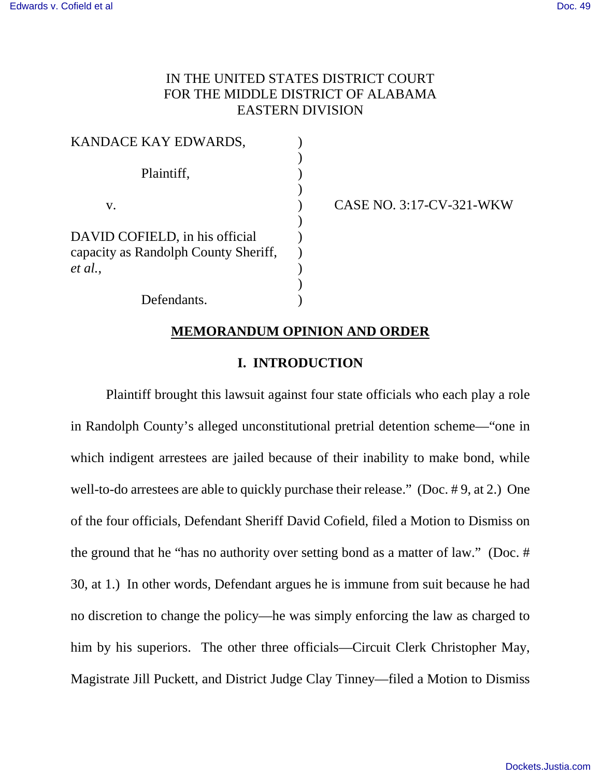# IN THE UNITED STATES DISTRICT COURT FOR THE MIDDLE DISTRICT OF ALABAMA EASTERN DIVISION

| KANDACE KAY EDWARDS,                 |  |
|--------------------------------------|--|
|                                      |  |
| Plaintiff,                           |  |
|                                      |  |
| $V_{\rm A}$                          |  |
|                                      |  |
| DAVID COFIELD, in his official       |  |
| capacity as Randolph County Sheriff, |  |
| et al.,                              |  |
|                                      |  |
| Defendants.                          |  |

CASE NO. 3:17-CV-321-WKW

## **MEMORANDUM OPINION AND ORDER**

### **I. INTRODUCTION**

Plaintiff brought this lawsuit against four state officials who each play a role in Randolph County's alleged unconstitutional pretrial detention scheme—"one in which indigent arrestees are jailed because of their inability to make bond, while well-to-do arrestees are able to quickly purchase their release." (Doc. # 9, at 2.) One of the four officials, Defendant Sheriff David Cofield, filed a Motion to Dismiss on the ground that he "has no authority over setting bond as a matter of law." (Doc. # 30, at 1.) In other words, Defendant argues he is immune from suit because he had no discretion to change the policy—he was simply enforcing the law as charged to him by his superiors. The other three officials—Circuit Clerk Christopher May, Magistrate Jill Puckett, and District Judge Clay Tinney—filed a Motion to Dismiss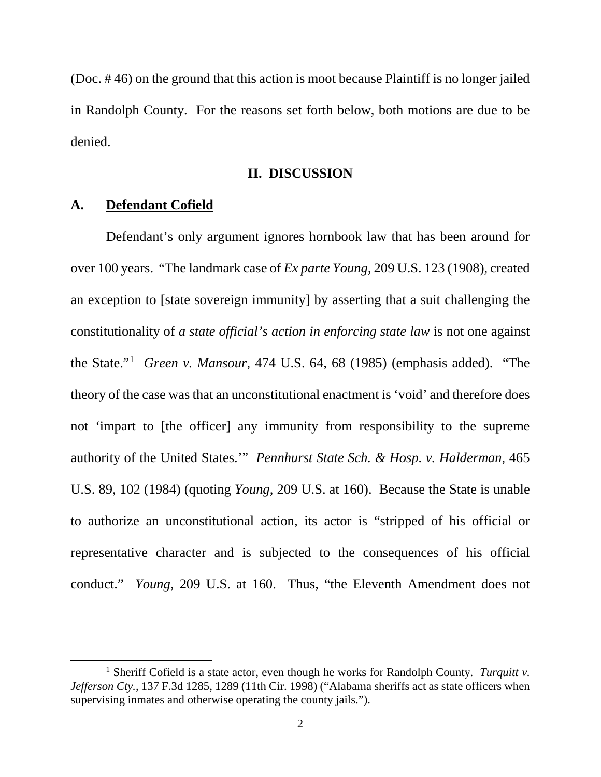(Doc. # 46) on the ground that this action is moot because Plaintiff is no longer jailed in Randolph County. For the reasons set forth below, both motions are due to be denied.

#### **II. DISCUSSION**

### **A. Defendant Cofield**

l

Defendant's only argument ignores hornbook law that has been around for over 100 years. "The landmark case of *Ex parte Young*, 209 U.S. 123 (1908), created an exception to [state sovereign immunity] by asserting that a suit challenging the constitutionality of *a state official's action in enforcing state law* is not one against the State."[1](#page-1-0) *Green v. Mansour*, 474 U.S. 64, 68 (1985) (emphasis added). "The theory of the case was that an unconstitutional enactment is 'void' and therefore does not 'impart to [the officer] any immunity from responsibility to the supreme authority of the United States.'" *Pennhurst State Sch. & Hosp. v. Halderman*, 465 U.S. 89, 102 (1984) (quoting *Young*, 209 U.S. at 160). Because the State is unable to authorize an unconstitutional action, its actor is "stripped of his official or representative character and is subjected to the consequences of his official conduct." *Young*, 209 U.S. at 160. Thus, "the Eleventh Amendment does not

<span id="page-1-0"></span><sup>1</sup> Sheriff Cofield is a state actor, even though he works for Randolph County. *Turquitt v.*  Jefferson Cty., 137 F.3d 1285, 1289 (11th Cir. 1998) ("Alabama sheriffs act as state officers when supervising inmates and otherwise operating the county jails.").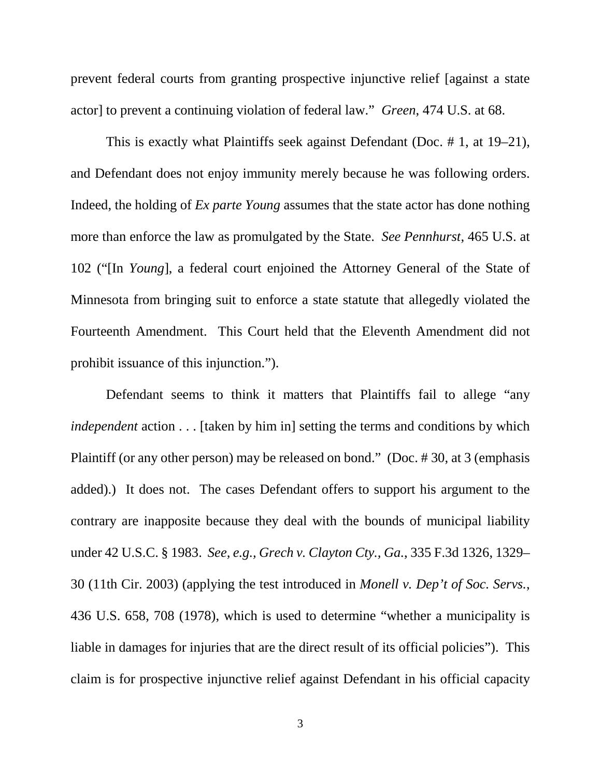prevent federal courts from granting prospective injunctive relief [against a state actor] to prevent a continuing violation of federal law." *Green*, 474 U.S. at 68.

This is exactly what Plaintiffs seek against Defendant (Doc. # 1, at 19–21), and Defendant does not enjoy immunity merely because he was following orders. Indeed, the holding of *Ex parte Young* assumes that the state actor has done nothing more than enforce the law as promulgated by the State. *See Pennhurst*, 465 U.S. at 102 ("[In *Young*], a federal court enjoined the Attorney General of the State of Minnesota from bringing suit to enforce a state statute that allegedly violated the Fourteenth Amendment. This Court held that the Eleventh Amendment did not prohibit issuance of this injunction.").

Defendant seems to think it matters that Plaintiffs fail to allege "any *independent* action . . . [taken by him in] setting the terms and conditions by which Plaintiff (or any other person) may be released on bond." (Doc. # 30, at 3 (emphasis added).) It does not. The cases Defendant offers to support his argument to the contrary are inapposite because they deal with the bounds of municipal liability under 42 U.S.C. § 1983. *See, e.g., Grech v. Clayton Cty., Ga.*, 335 F.3d 1326, 1329– 30 (11th Cir. 2003) (applying the test introduced in *Monell v. Dep't of Soc. Servs.*, 436 U.S. 658, 708 (1978), which is used to determine "whether a municipality is liable in damages for injuries that are the direct result of its official policies"). This claim is for prospective injunctive relief against Defendant in his official capacity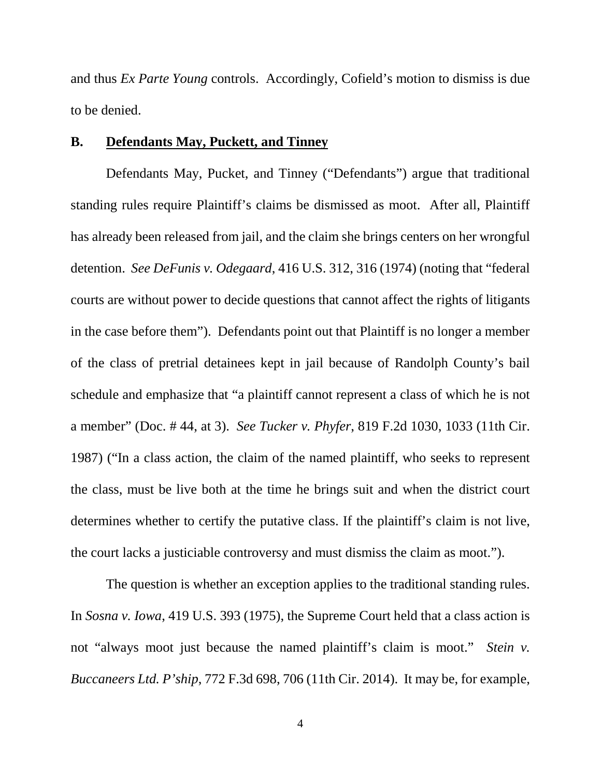and thus *Ex Parte Young* controls. Accordingly, Cofield's motion to dismiss is due to be denied.

### **B. Defendants May, Puckett, and Tinney**

Defendants May, Pucket, and Tinney ("Defendants") argue that traditional standing rules require Plaintiff's claims be dismissed as moot. After all, Plaintiff has already been released from jail, and the claim she brings centers on her wrongful detention. *See DeFunis v. Odegaard*, 416 U.S. 312, 316 (1974) (noting that "federal courts are without power to decide questions that cannot affect the rights of litigants in the case before them"). Defendants point out that Plaintiff is no longer a member of the class of pretrial detainees kept in jail because of Randolph County's bail schedule and emphasize that "a plaintiff cannot represent a class of which he is not a member" (Doc. # 44, at 3). *See Tucker v. Phyfer*, 819 F.2d 1030, 1033 (11th Cir. 1987) ("In a class action, the claim of the named plaintiff, who seeks to represent the class, must be live both at the time he brings suit and when the district court determines whether to certify the putative class. If the plaintiff's claim is not live, the court lacks a justiciable controversy and must dismiss the claim as moot.").

The question is whether an exception applies to the traditional standing rules. In *Sosna v. Iowa*, 419 U.S. 393 (1975), the Supreme Court held that a class action is not "always moot just because the named plaintiff's claim is moot." *Stein v. Buccaneers Ltd. P'ship*, 772 F.3d 698, 706 (11th Cir. 2014). It may be, for example,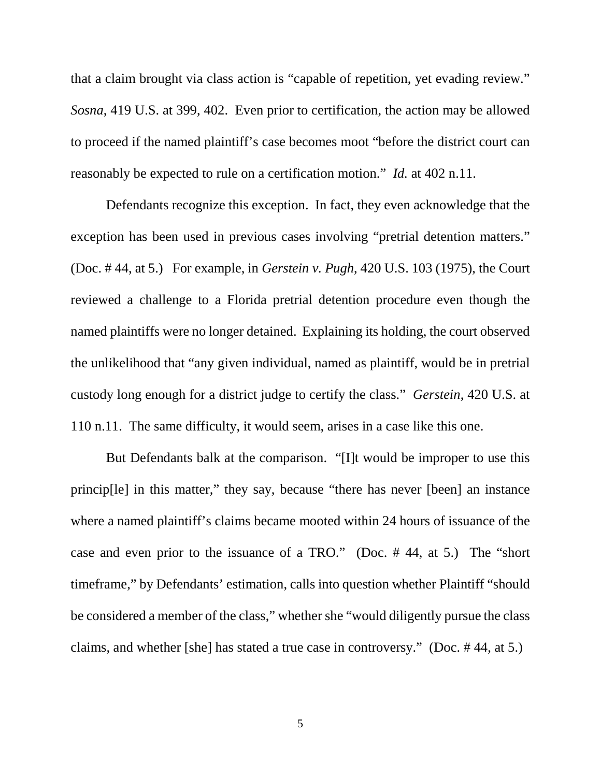that a claim brought via class action is "capable of repetition, yet evading review." *Sosna*, 419 U.S. at 399, 402. Even prior to certification, the action may be allowed to proceed if the named plaintiff's case becomes moot "before the district court can reasonably be expected to rule on a certification motion." *Id.* at 402 n.11.

Defendants recognize this exception. In fact, they even acknowledge that the exception has been used in previous cases involving "pretrial detention matters." (Doc. # 44, at 5.) For example, in *Gerstein v. Pugh*, 420 U.S. 103 (1975), the Court reviewed a challenge to a Florida pretrial detention procedure even though the named plaintiffs were no longer detained. Explaining its holding, the court observed the unlikelihood that "any given individual, named as plaintiff, would be in pretrial custody long enough for a district judge to certify the class." *Gerstein*, 420 U.S. at 110 n.11. The same difficulty, it would seem, arises in a case like this one.

But Defendants balk at the comparison. "[I]t would be improper to use this princip[le] in this matter," they say, because "there has never [been] an instance where a named plaintiff's claims became mooted within 24 hours of issuance of the case and even prior to the issuance of a TRO." (Doc. # 44, at 5.) The "short timeframe," by Defendants' estimation, calls into question whether Plaintiff "should be considered a member of the class," whether she "would diligently pursue the class claims, and whether [she] has stated a true case in controversy." (Doc. # 44, at 5.)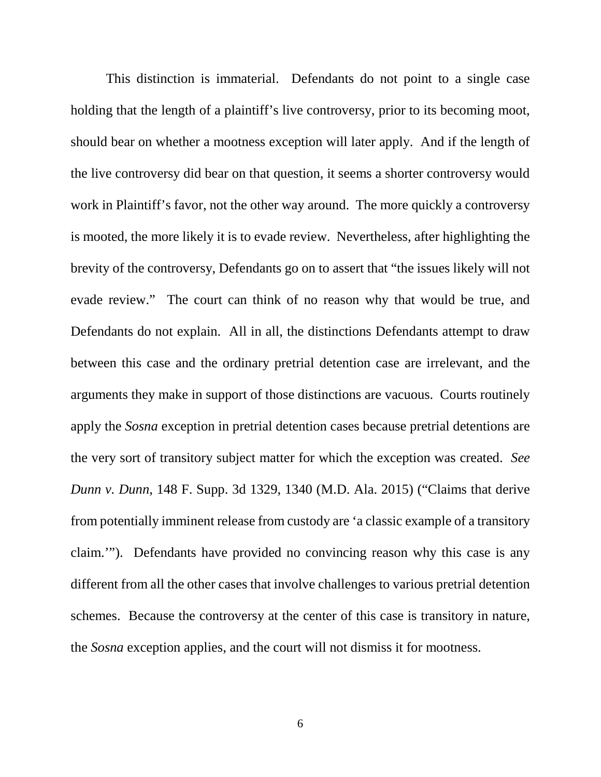This distinction is immaterial. Defendants do not point to a single case holding that the length of a plaintiff's live controversy, prior to its becoming moot, should bear on whether a mootness exception will later apply. And if the length of the live controversy did bear on that question, it seems a shorter controversy would work in Plaintiff's favor, not the other way around. The more quickly a controversy is mooted, the more likely it is to evade review. Nevertheless, after highlighting the brevity of the controversy, Defendants go on to assert that "the issues likely will not evade review." The court can think of no reason why that would be true, and Defendants do not explain. All in all, the distinctions Defendants attempt to draw between this case and the ordinary pretrial detention case are irrelevant, and the arguments they make in support of those distinctions are vacuous. Courts routinely apply the *Sosna* exception in pretrial detention cases because pretrial detentions are the very sort of transitory subject matter for which the exception was created. *See Dunn v. Dunn*, 148 F. Supp. 3d 1329, 1340 (M.D. Ala. 2015) ("Claims that derive from potentially imminent release from custody are 'a classic example of a transitory claim.'"). Defendants have provided no convincing reason why this case is any different from all the other cases that involve challenges to various pretrial detention schemes. Because the controversy at the center of this case is transitory in nature, the *Sosna* exception applies, and the court will not dismiss it for mootness.